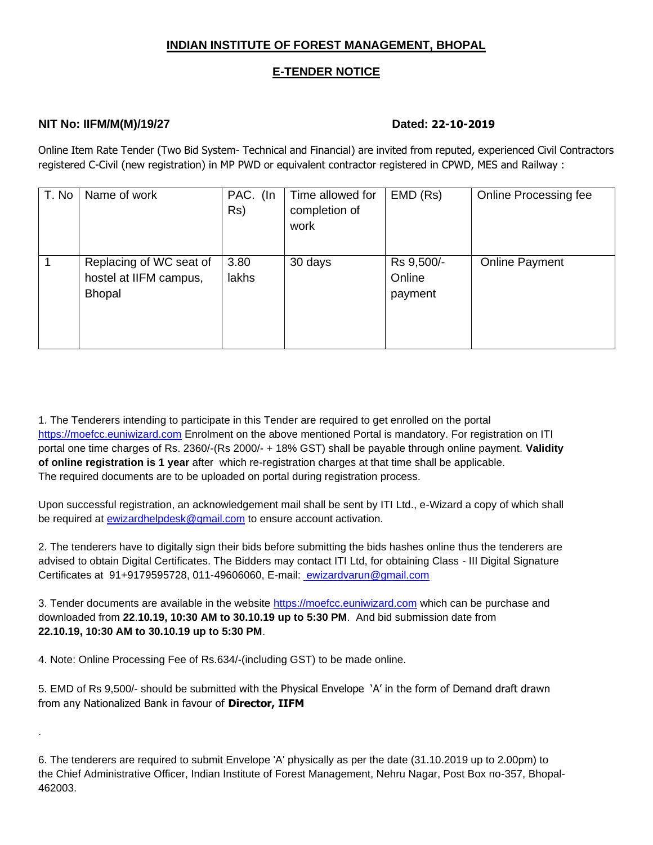### **INDIAN INSTITUTE OF FOREST MANAGEMENT, BHOPAL**

#### **E-TENDER NOTICE**

#### **NIT No: IIFM/M(M)/19/27 Dated: 22-10-2019**

.

Online Item Rate Tender (Two Bid System- Technical and Financial) are invited from reputed, experienced Civil Contractors registered C-Civil (new registration) in MP PWD or equivalent contractor registered in CPWD, MES and Railway :

| T. No | Name of work                                                       | PAC. (In<br>Rs) | Time allowed for<br>completion of<br>work | EMD (Rs)                        | Online Processing fee |
|-------|--------------------------------------------------------------------|-----------------|-------------------------------------------|---------------------------------|-----------------------|
|       | Replacing of WC seat of<br>hostel at IIFM campus,<br><b>Bhopal</b> | 3.80<br>lakhs   | 30 days                                   | Rs 9,500/-<br>Online<br>payment | <b>Online Payment</b> |

1. The Tenderers intending to participate in this Tender are required to get enrolled on the portal [https://moefcc.euniwizard.com](https://moefcc.euniwizard.com/) Enrolment on the above mentioned Portal is mandatory. For registration on ITI portal one time charges of Rs. 2360/-(Rs 2000/- + 18% GST) shall be payable through online payment. **Validity of online registration is 1 year** after which re-registration charges at that time shall be applicable. The required documents are to be uploaded on portal during registration process.

Upon successful registration, an acknowledgement mail shall be sent by ITI Ltd., e-Wizard a copy of which shall be required at [ewizardhelpdesk@gmail.com](mailto:ewizardhelpdesk@gmail.com) to ensure account activation.

2. The tenderers have to digitally sign their bids before submitting the bids hashes online thus the tenderers are advised to obtain Digital Certificates. The Bidders may contact ITI Ltd, for obtaining Class - III Digital Signature Certificates at 91+9179595728, 011-49606060, E-mail: [ewizardvarun@gmail.com](mailto:%20ewizardvarun@gmail.com)

3. Tender documents are available in the website [https://moefcc.euniwizard.com](https://moefcc.euniwizard.com/) which can be purchase and downloaded from **22**.**10.19, 10:30 AM to 30.10.19 up to 5:30 PM**. And bid submission date from **22.10.19, 10:30 AM to 30.10.19 up to 5:30 PM**.

4. Note: Online Processing Fee of Rs.634/-(including GST) to be made online.

5. EMD of Rs 9,500/- should be submitted with the Physical Envelope 'A' in the form of Demand draft drawn from any Nationalized Bank in favour of **Director, IIFM**

6. The tenderers are required to submit Envelope 'A' physically as per the date (31.10.2019 up to 2.00pm) to the Chief Administrative Officer, Indian Institute of Forest Management, Nehru Nagar, Post Box no-357, Bhopal-462003.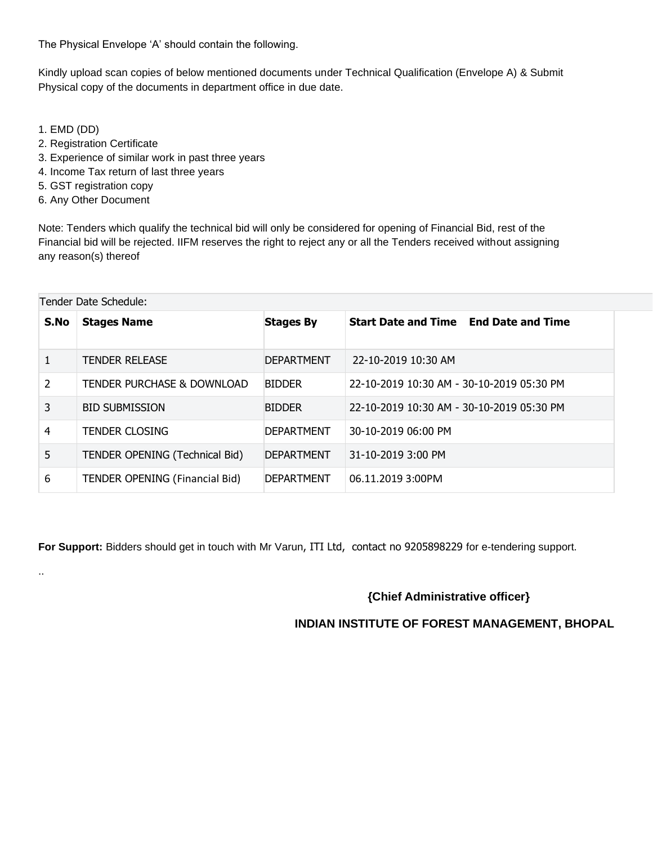The Physical Envelope 'A' should contain the following.

Kindly upload scan copies of below mentioned documents under Technical Qualification (Envelope A) & Submit Physical copy of the documents in department office in due date.

1. EMD (DD)

..

- 2. Registration Certificate
- 3. Experience of similar work in past three years
- 4. Income Tax return of last three years
- 5. GST registration copy
- 6. Any Other Document

Note: Tenders which qualify the technical bid will only be considered for opening of Financial Bid, rest of the Financial bid will be rejected. IIFM reserves the right to reject any or all the Tenders received without assigning any reason(s) thereof

| Tender Date Schedule: |                                       |                   |                                              |  |  |
|-----------------------|---------------------------------------|-------------------|----------------------------------------------|--|--|
| S.No                  | <b>Stages Name</b>                    | <b>Stages By</b>  | <b>Start Date and Time End Date and Time</b> |  |  |
| 1                     | <b>TENDER RELEASE</b>                 | <b>DEPARTMENT</b> | 22-10-2019 10:30 AM                          |  |  |
| 2                     | <b>TENDER PURCHASE &amp; DOWNLOAD</b> | <b>BIDDER</b>     | 22-10-2019 10:30 AM - 30-10-2019 05:30 PM    |  |  |
| 3                     | <b>BID SUBMISSION</b>                 | <b>BIDDER</b>     | 22-10-2019 10:30 AM - 30-10-2019 05:30 PM    |  |  |
| 4                     | <b>TENDER CLOSING</b>                 | <b>DEPARTMENT</b> | 30-10-2019 06:00 PM                          |  |  |
| 5                     | TENDER OPENING (Technical Bid)        | <b>DEPARTMENT</b> | 31-10-2019 3:00 PM                           |  |  |
| 6                     | <b>TENDER OPENING (Financial Bid)</b> | <b>DEPARTMENT</b> | 06.11.2019 3:00PM                            |  |  |

**For Support:** Bidders should get in touch with Mr Varun, ITI Ltd, contact no 9205898229 for e-tendering support.

### **{Chief Administrative officer}**

### **INDIAN INSTITUTE OF FOREST MANAGEMENT, BHOPAL**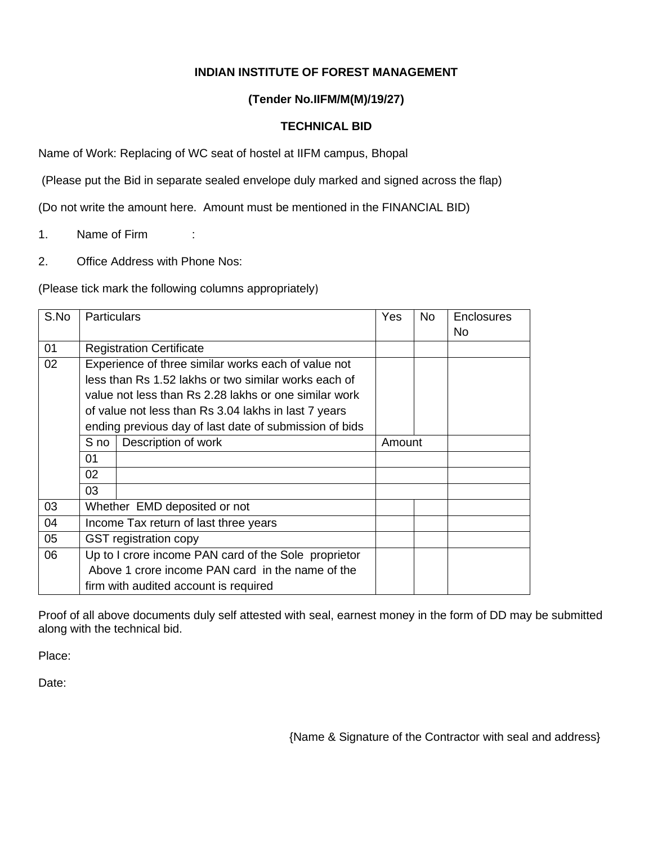# **INDIAN INSTITUTE OF FOREST MANAGEMENT**

#### **(Tender No.IIFM/M(M)/19/27)**

#### **TECHNICAL BID**

Name of Work: Replacing of WC seat of hostel at IIFM campus, Bhopal

(Please put the Bid in separate sealed envelope duly marked and signed across the flap)

(Do not write the amount here. Amount must be mentioned in the FINANCIAL BID)

- 1. Name of Firm :
- 2. Office Address with Phone Nos:

(Please tick mark the following columns appropriately)

| S.No | <b>Particulars</b>                                   |                                                        | Yes    | <b>No</b> | <b>Enclosures</b> |
|------|------------------------------------------------------|--------------------------------------------------------|--------|-----------|-------------------|
|      |                                                      |                                                        |        |           | No.               |
| 01   |                                                      | <b>Registration Certificate</b>                        |        |           |                   |
| 02   | Experience of three similar works each of value not  |                                                        |        |           |                   |
|      |                                                      | less than Rs 1.52 lakhs or two similar works each of   |        |           |                   |
|      |                                                      | value not less than Rs 2.28 lakhs or one similar work  |        |           |                   |
|      |                                                      | of value not less than Rs 3.04 lakhs in last 7 years   |        |           |                   |
|      |                                                      | ending previous day of last date of submission of bids |        |           |                   |
|      | S no                                                 | Description of work                                    | Amount |           |                   |
|      | 01                                                   |                                                        |        |           |                   |
|      | 02                                                   |                                                        |        |           |                   |
|      | 03                                                   |                                                        |        |           |                   |
| 03   |                                                      | Whether EMD deposited or not                           |        |           |                   |
| 04   |                                                      | Income Tax return of last three years                  |        |           |                   |
| 05   | <b>GST</b> registration copy                         |                                                        |        |           |                   |
| 06   | Up to I crore income PAN card of the Sole proprietor |                                                        |        |           |                   |
|      |                                                      | Above 1 crore income PAN card in the name of the       |        |           |                   |
|      |                                                      | firm with audited account is required                  |        |           |                   |

Proof of all above documents duly self attested with seal, earnest money in the form of DD may be submitted along with the technical bid.

Place:

Date:

{Name & Signature of the Contractor with seal and address}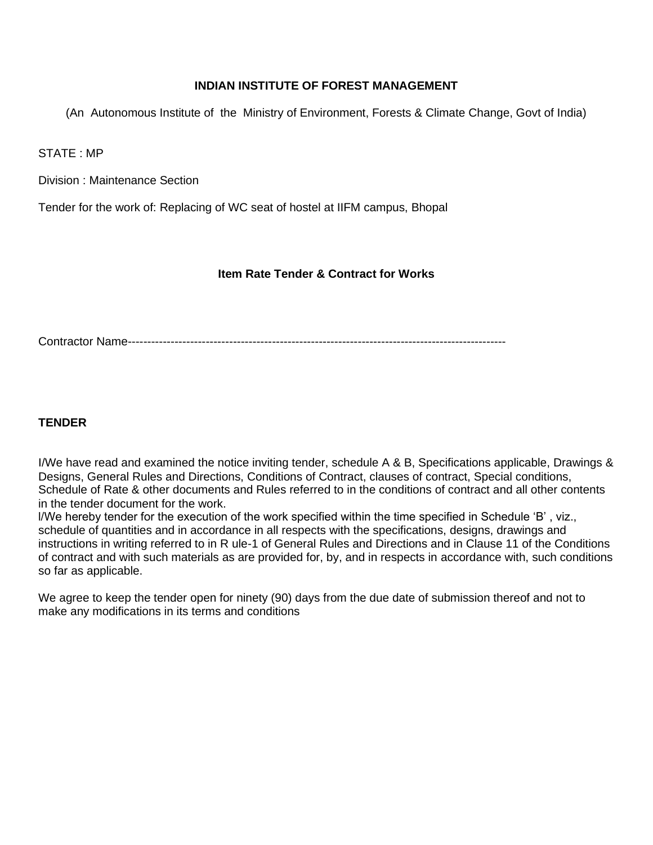#### **INDIAN INSTITUTE OF FOREST MANAGEMENT**

(An Autonomous Institute of the Ministry of Environment, Forests & Climate Change, Govt of India)

STATE : MP

Division : Maintenance Section

Tender for the work of: Replacing of WC seat of hostel at IIFM campus, Bhopal

#### **Item Rate Tender & Contract for Works**

Contractor Name-------------------------------------------------------------------------------------------------

#### **TENDER**

I/We have read and examined the notice inviting tender, schedule A & B, Specifications applicable, Drawings & Designs, General Rules and Directions, Conditions of Contract, clauses of contract, Special conditions, Schedule of Rate & other documents and Rules referred to in the conditions of contract and all other contents in the tender document for the work.

l/We hereby tender for the execution of the work specified within the time specified in Schedule 'B' , viz., schedule of quantities and in accordance in all respects with the specifications, designs, drawings and instructions in writing referred to in R ule-1 of General Rules and Directions and in Clause 11 of the Conditions of contract and with such materials as are provided for, by, and in respects in accordance with, such conditions so far as applicable.

We agree to keep the tender open for ninety (90) days from the due date of submission thereof and not to make any modifications in its terms and conditions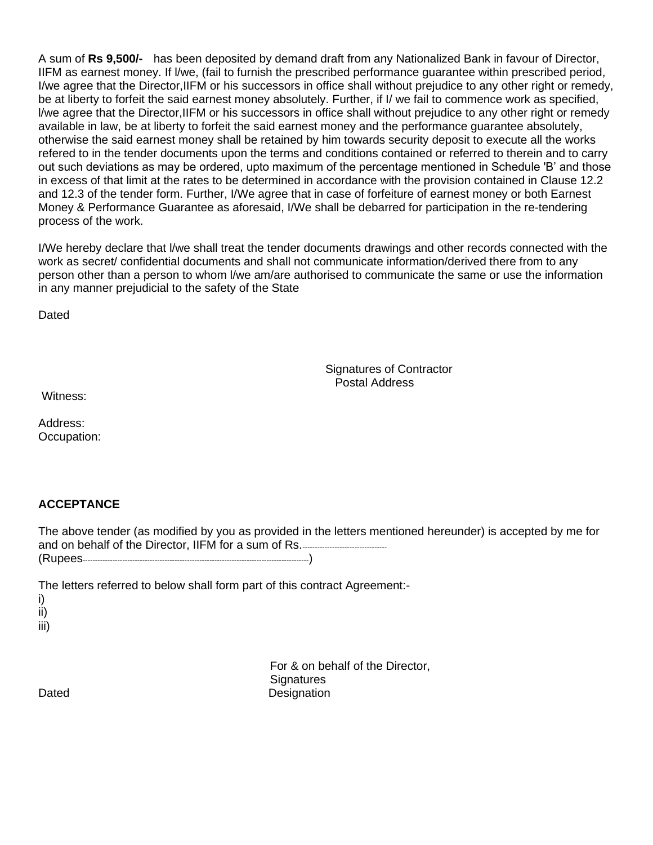A sum of **Rs 9,500/-** has been deposited by demand draft from any Nationalized Bank in favour of Director, IIFM as earnest money. If l/we, (fail to furnish the prescribed performance guarantee within prescribed period, I/we agree that the Director,IIFM or his successors in office shall without prejudice to any other right or remedy, be at liberty to forfeit the said earnest money absolutely. Further, if I/ we fail to commence work as specified, l/we agree that the Director,IIFM or his successors in office shall without prejudice to any other right or remedy available in law, be at liberty to forfeit the said earnest money and the performance guarantee absolutely, otherwise the said earnest money shall be retained by him towards security deposit to execute all the works refered to in the tender documents upon the terms and conditions contained or referred to therein and to carry out such deviations as may be ordered, upto maximum of the percentage mentioned in Schedule 'B' and those in excess of that limit at the rates to be determined in accordance with the provision contained in Clause 12.2 and 12.3 of the tender form. Further, I/We agree that in case of forfeiture of earnest money or both Earnest Money & Performance Guarantee as aforesaid, I/We shall be debarred for participation in the re-tendering process of the work.

I/We hereby declare that l/we shall treat the tender documents drawings and other records connected with the work as secret/ confidential documents and shall not communicate information/derived there from to any person other than a person to whom l/we am/are authorised to communicate the same or use the information in any manner prejudicial to the safety of the State

Dated

 Signatures of Contractor Postal Address

Witness:

Address: Occupation:

### **ACCEPTANCE**

The above tender (as modified by you as provided in the letters mentioned hereunder) is accepted by me for and on behalf of the Director, IIFM for a sum of Rs.---------------------------------- (Rupees-------------------------------------------------------------------------------------------)

The letters referred to below shall form part of this contract Agreement:-

i)

ii)

iii)

 For & on behalf of the Director, **Signatures** Dated Designation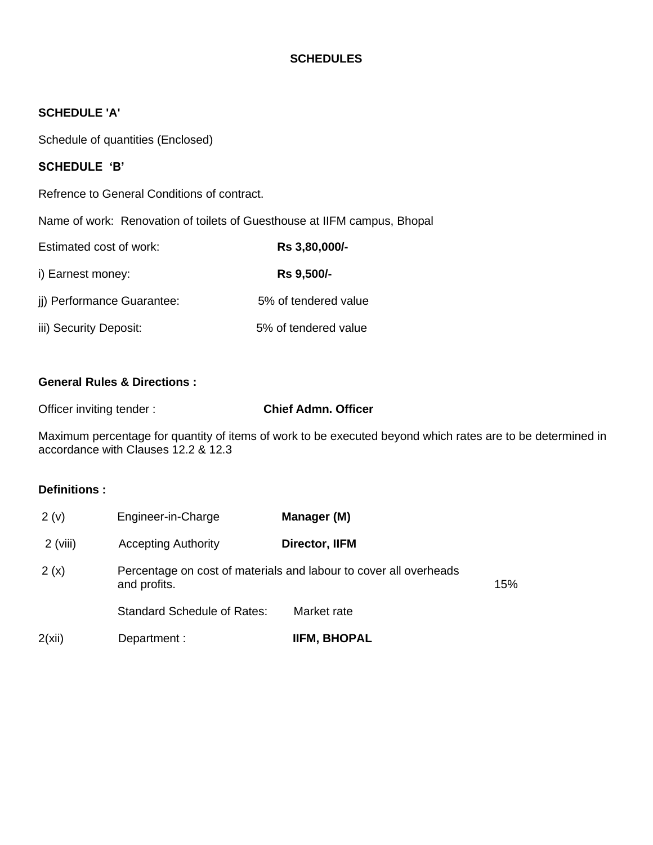### **SCHEDULES**

#### **SCHEDULE 'A'**

Schedule of quantities (Enclosed)

#### **SCHEDULE 'B'**

Refrence to General Conditions of contract.

Name of work: Renovation of toilets of Guesthouse at IIFM campus, Bhopal

| Estimated cost of work:    | Rs 3,80,000/-        |  |  |
|----------------------------|----------------------|--|--|
| i) Earnest money:          | Rs 9,500/-           |  |  |
| ji) Performance Guarantee: | 5% of tendered value |  |  |
| iii) Security Deposit:     | 5% of tendered value |  |  |

#### **General Rules & Directions :**

Officer inviting tender : **Chief Admn. Officer**

Maximum percentage for quantity of items of work to be executed beyond which rates are to be determined in accordance with Clauses 12.2 & 12.3

#### **Definitions :**

| 2(v)       | Engineer-in-Charge                                                                | Manager (M)         |     |
|------------|-----------------------------------------------------------------------------------|---------------------|-----|
| $2$ (viii) | <b>Accepting Authority</b>                                                        | Director, IIFM      |     |
| 2(x)       | Percentage on cost of materials and labour to cover all overheads<br>and profits. |                     | 15% |
|            | <b>Standard Schedule of Rates:</b>                                                | Market rate         |     |
| 2(xii)     | Department :                                                                      | <b>IIFM, BHOPAL</b> |     |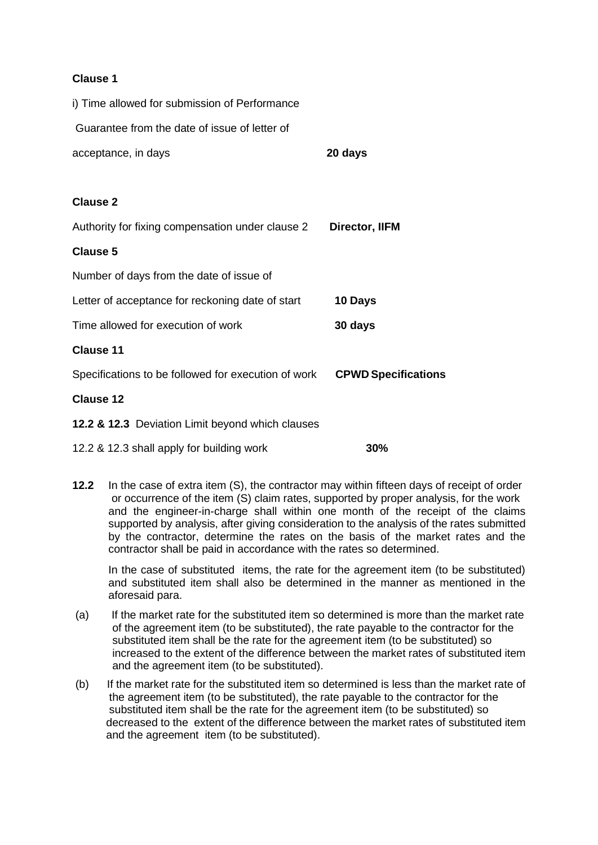#### **Clause 1**

| i) Time allowed for submission of Performance       |                            |
|-----------------------------------------------------|----------------------------|
| Guarantee from the date of issue of letter of       |                            |
| acceptance, in days                                 | 20 days                    |
|                                                     |                            |
| <b>Clause 2</b>                                     |                            |
| Authority for fixing compensation under clause 2    | <b>Director, IIFM</b>      |
| <b>Clause 5</b>                                     |                            |
| Number of days from the date of issue of            |                            |
| Letter of acceptance for reckoning date of start    | 10 Days                    |
| Time allowed for execution of work                  | 30 days                    |
| <b>Clause 11</b>                                    |                            |
| Specifications to be followed for execution of work | <b>CPWD Specifications</b> |
| <b>Clause 12</b>                                    |                            |
| 12.2 & 12.3 Deviation Limit beyond which clauses    |                            |
|                                                     |                            |

12.2 & 12.3 shall apply for building work **30%**

**12.2** In the case of extra item (S), the contractor may within fifteen days of receipt of order or occurrence of the item (S) claim rates, supported by proper analysis, for the work and the engineer-in-charge shall within one month of the receipt of the claims supported by analysis, after giving consideration to the analysis of the rates submitted by the contractor, determine the rates on the basis of the market rates and the contractor shall be paid in accordance with the rates so determined.

In the case of substituted items, the rate for the agreement item (to be substituted) and substituted item shall also be determined in the manner as mentioned in the aforesaid para.

- (a) If the market rate for the substituted item so determined is more than the market rate of the agreement item (to be substituted), the rate payable to the contractor for the substituted item shall be the rate for the agreement item (to be substituted) so increased to the extent of the difference between the market rates of substituted item and the agreement item (to be substituted).
- (b) If the market rate for the substituted item so determined is less than the market rate of the agreement item (to be substituted), the rate payable to the contractor for the substituted item shall be the rate for the agreement item (to be substituted) so decreased to the extent of the difference between the market rates of substituted item and the agreement item (to be substituted).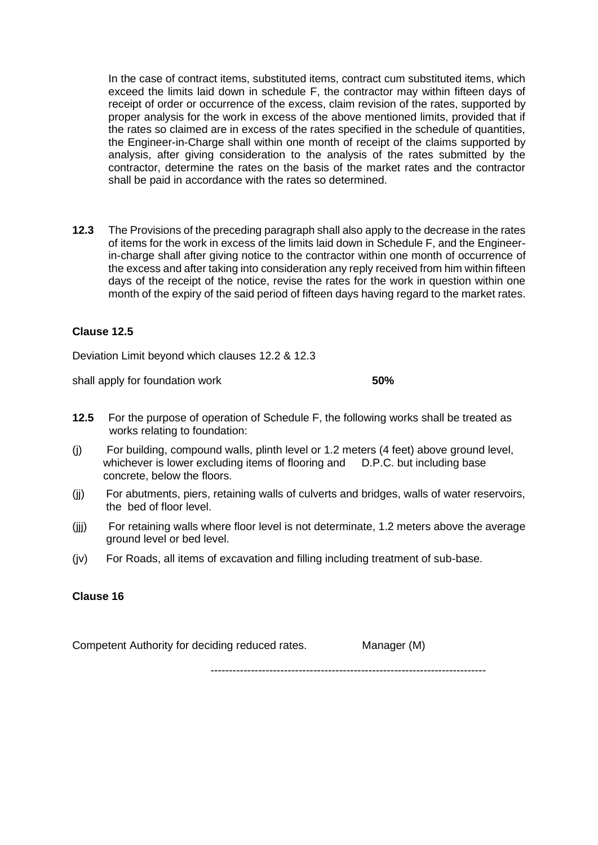In the case of contract items, substituted items, contract cum substituted items, which exceed the limits laid down in schedule F, the contractor may within fifteen days of receipt of order or occurrence of the excess, claim revision of the rates, supported by proper analysis for the work in excess of the above mentioned limits, provided that if the rates so claimed are in excess of the rates specified in the schedule of quantities, the Engineer-in-Charge shall within one month of receipt of the claims supported by analysis, after giving consideration to the analysis of the rates submitted by the contractor, determine the rates on the basis of the market rates and the contractor shall be paid in accordance with the rates so determined.

**12.3** The Provisions of the preceding paragraph shall also apply to the decrease in the rates of items for the work in excess of the limits laid down in Schedule F, and the Engineerin-charge shall after giving notice to the contractor within one month of occurrence of the excess and after taking into consideration any reply received from him within fifteen days of the receipt of the notice, revise the rates for the work in question within one month of the expiry of the said period of fifteen days having regard to the market rates.

#### **Clause 12.5**

Deviation Limit beyond which clauses 12.2 & 12.3

shall apply for foundation work **50%**

- **12.5** For the purpose of operation of Schedule F, the following works shall be treated as works relating to foundation:
- (j) For building, compound walls, plinth level or 1.2 meters (4 feet) above ground level, whichever is lower excluding items of flooring and D.P.C. but including base concrete, below the floors.
- (jj) For abutments, piers, retaining walls of culverts and bridges, walls of water reservoirs, the bed of floor level.
- (jjj) For retaining walls where floor level is not determinate, 1.2 meters above the average ground level or bed level.
- (jv) For Roads, all items of excavation and filling including treatment of sub-base.

#### **Clause 16**

Competent Authority for deciding reduced rates. Manager (M)

---------------------------------------------------------------------------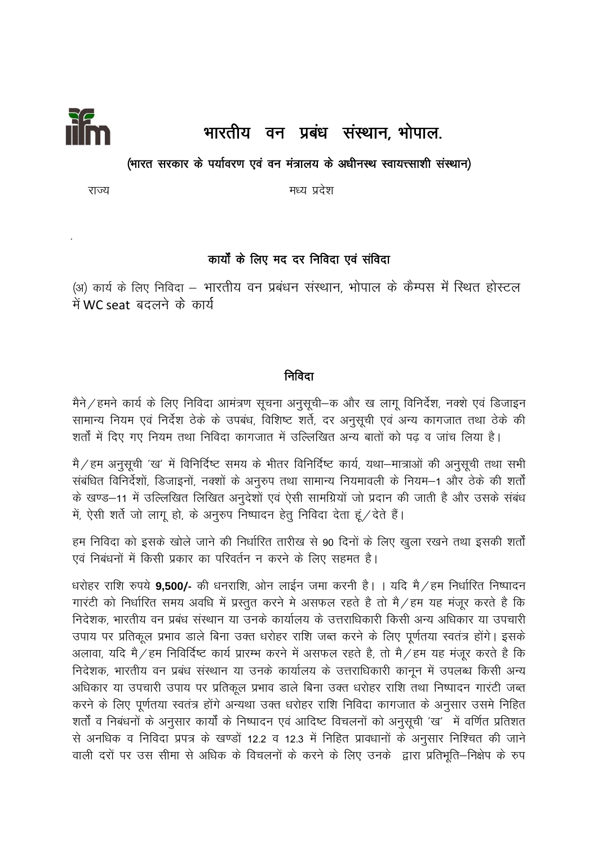

# भारतीय वन प्रबंध संस्थान, भोपाल.

#### (भारत सरकार के पर्यावरण एवं वन मंत्रालय के अधीनस्थ स्वायत्त्साशी संस्थान)

मध्य प्रदेश

राज्य

# कार्यों के लिए मद दर निविदा एवं संविदा

(अ) कार्य के लिए निविदा – भारतीय वन प्रबंधन संस्थान, भोपाल के कैम्पस में स्थित होस्टल में WC seat बदलने के कार्य

## निविदा

मैने / हमने कार्य के लिए निविदा आमंत्रण सूचना अनुसूची–क और ख लागू विनिर्देश, नक्शे एवं डिजाइन सामान्य नियम एवं निर्देश ठेके के उपबंध, विशिष्ट शर्ते, दर अनुसूची एवं अन्य कागजात तथा ठेके की शर्तों में दिए गए नियम तथा निविदा कागजात में उल्लिखित अन्य बातों को पढ़ व जांच लिया है।

मै / हम अनुसूची 'ख' में विनिर्दिष्ट समय के भीतर विनिर्दिष्ट कार्य, यथा–मात्राओं की अनुसूची तथा सभी संबंधित विनिर्देशों, डिजाइनों, नक्शों के अनुरुप तथा सामान्य नियमावली के नियम–1 और ठेके की शर्तों के खण्ड–11 में उल्लिखित लिखित अनुदेशों एवं ऐसी सामग्रियों जो प्रदान की जाती है और उसके संबंध में, ऐसी शर्ते जो लाग हो, के अनुरुप निष्पादन हेतु निविदा देता हं / देते हैं।

हम निविदा को इसके खोले जाने की निर्धारित तारीख से 90 दिनों के लिए खुला रखने तथा इसकी शर्तों एवं निबंधनों में किसी प्रकार का परिवर्तन न करने के लिए सहमत है।

धरोहर राशि रुपये 9,500/- की धनराशि, ओन लाईन जमा करनी है। । यदि मै / हम निर्धारित निष्पादन गारंटी को निर्धारित समय अवधि में प्रस्तुत करने मे असफल रहते है तो मै/हम यह मंजूर करते है कि निदेशक, भारतीय वन प्रबंध संस्थान या उनके कार्यालय के उत्तराधिकारी किसी अन्य अधिकार या उपचारी उपाय पर प्रतिकूल प्रभाव डाले बिना उक्त धरोहर राशि जब्त करने के लिए पूर्णतया स्वतंत्र होंगे। इसके अलावा, यदि मै/हम निविर्दिष्ट कार्य प्रारम्भ करने में असफल रहते है, तो मै/हम यह मंजूर करते है कि निदेशक, भारतीय वन प्रबंध संस्थान या उनके कार्यालय के उत्तराधिकारी कानून में उपलब्ध किसी अन्य अधिकार या उपचारी उपाय पर प्रतिकूल प्रभाव डाले बिना उक्त धरोहर राशि तथा निष्पादन गारंटी जब्त करने के लिए पूर्णतया स्वतंत्र होंगे अन्यथा उक्त धरोहर राशि निविदा कागजात के अनुसार उसमे निहित शर्तों व निबंधनों के अनुसार कार्यों के निष्पादन एवं आदिष्ट विचलनों को अनुसूची 'ख' में वर्णित प्रतिशत से अनधिक व निविदा प्रपत्र के खण्डों 12.2 व 12.3 में निहित प्रावधानों के अनुसार निश्चित की जाने वाली दरों पर उस सीमा से अधिक के विचलनों के करने के लिए उनके द्वारा प्रतिभूति–निक्षेप के रुप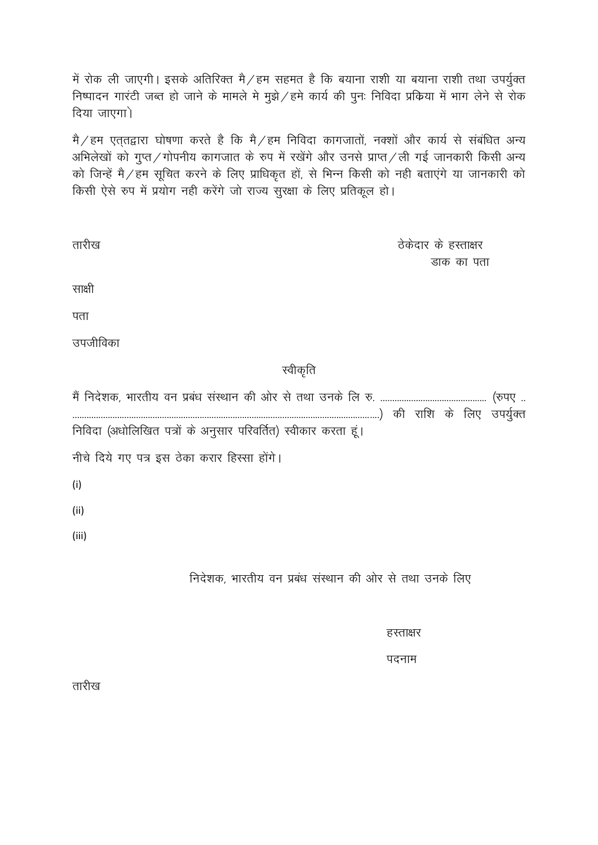में रोक ली जाएगी। इसके अतिरिक्त मै/हम सहमत है कि बयाना राशी या बयाना राशी तथा उपर्युक्त निष्पादन गारंटी जब्त हो जाने के मामले मे मुझे / हमे कार्य की पुनः निविदा प्रकिया में भाग लेने से रोक दिया जाएगा)

मै / हम एत्**तद्वारा घोषणा करते है कि मै / हम निवि**दा कागजातों, नक्शों और कार्य से संबंधित अन्य अभिलेखों को गुप्त/गोपनीय कागजात के रुप में रखेंगे और उनसे प्राप्त/ली गई जानकारी किसी अन्य को जिन्हें मै/हम सूचित करने के लिए प्राधिकृत हों, से भिन्न किसी को नही बताएंगे या जानकारी को किसी ऐसे रुप में प्रयोग नही करेंगे जो राज्य सुरक्षा के लिए प्रतिकूल हो।

| तारीख                                                          | ठेकेदार के हस्ताक्षर |
|----------------------------------------------------------------|----------------------|
|                                                                | डाक का पता           |
| साक्षी                                                         |                      |
| पता                                                            |                      |
| उपजीविका                                                       |                      |
| स्वीकृति                                                       |                      |
|                                                                |                      |
| निविदा (अधोलिखित पत्रों के अनुसार परिवर्तित) स्वीकार करता हूं। |                      |
| नीचे दिये गए पत्र इस ठेका करार हिस्सा होंगे।                   |                      |
| (i)                                                            |                      |
| (ii)                                                           |                      |
| (iii)                                                          |                      |
| निदेशक, भारतीय वन प्रबंध संस्थान की ओर से तथा उनके लिए         |                      |

हस्ताक्षर

पदनाम

तारीख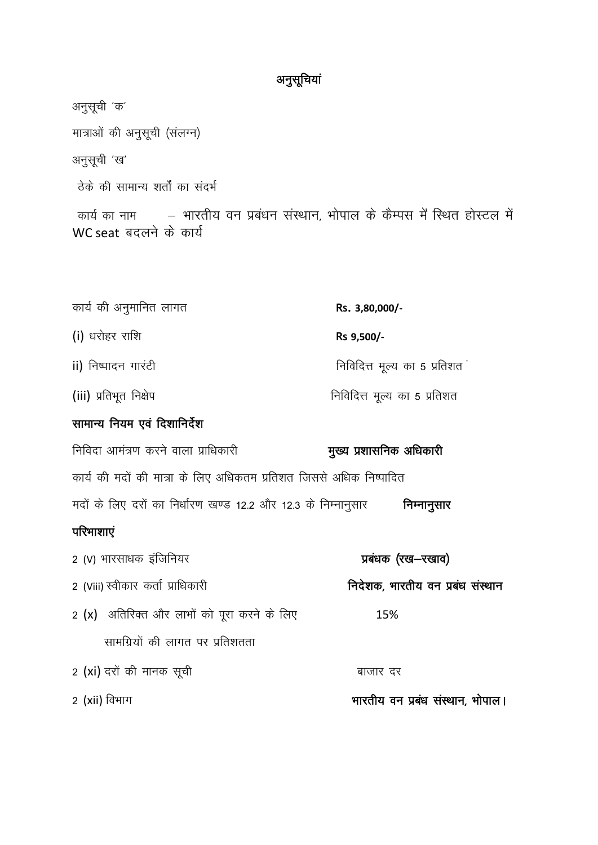# अनुसूचियां

अनुसूची 'क' मात्राओं की अनुसूची (संलग्न) अनुसूची 'ख' ठेके की सामान्य शर्तों का संदर्भ कार्य का नाम – भारतीय वन प्रबंधन संस्थान, भोपाल के कैम्पस में स्थित होस्टल में WC seat बदलने के कार्य कार्य की अनुमानित लागत Rs. 3,80,000/-(i) धरोहर राशि Rs 9,500/-निविदित्त मूल्य का 5 प्रतिशत<sup>:</sup> ii) निष्पादन गारंटी निविदित्त मूल्य का 5 प्रतिशत (iii) प्रतिभूत निक्षेप सामान्य नियम एवं दिशानिर्देश निविदा आमंत्रण करने वाला प्राधिकारी मुख्य प्रशासनिक अधिकारी कार्य की मदों की मात्रा के लिए अधिकतम प्रतिशत जिससे अधिक निष्पादित मदों के लिए दरों का निर्धारण खण्ड 12.2 और 12.3 के निम्नानुसार विम्नानुसार परिभाशाएं 2 (V) भारसाधक इंजिनियर प्रबंधक (रख-रखाव) निदेशक, भारतीय वन प्रबंध संस्थान 2 (Viii) स्वीकार कर्ता प्राधिकारी 2 (x) अतिरिक्त और लाभों को पूरा करने के लिए 15% सामग्रियों की लागत पर प्रतिशतता 2 (xi) दरों की मानक सूची बाजार दर 2 (xii) विभाग भारतीय वन प्रबंध संस्थान, भोपाल।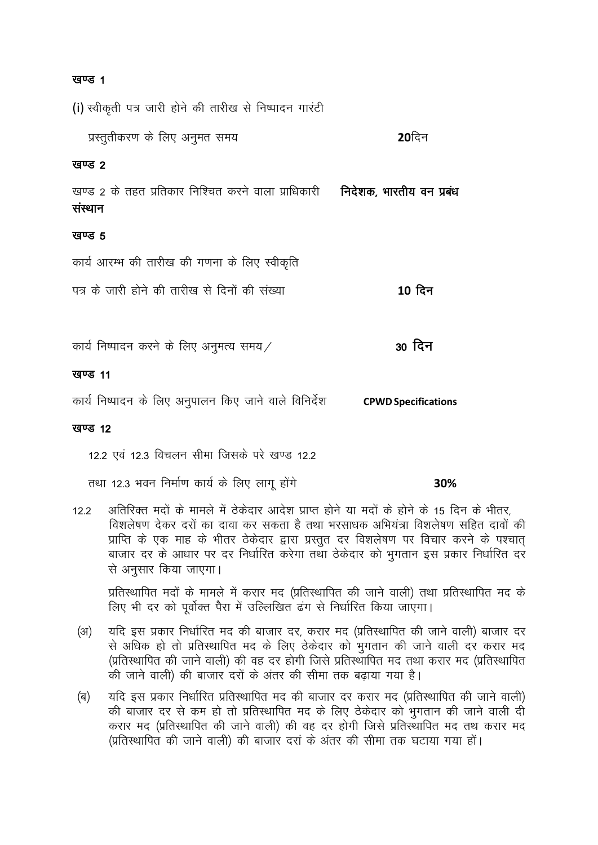#### खण्ड 1

(i) स्वीकृती पत्र जारी होने की तारीख से निष्पादन गारंटी प्रस्तुतीकरण के लिए अनुमत समय  $20$ दिन खण्ड 2 खण्ड 2 के तहत प्रतिकार निश्चित करने वाला प्राधिकारी **निदेशक, भारतीय वन प्रबंध** संस्थान खण्ड 5 कार्य आरम्भ की तारीख की गणना के लिए स्वीकृति पत्र के जारी होने की तारीख से दिनों की संख्या  $10$  दिन 30 दिन कार्य निष्पादन करने के लिए अनुमत्य समय $\angle$ खण्ड 11

#### खण्ड 12

12.2 एवं 12.3 विचलन सीमा जिसके परे खण्ड 12.2

तथा 12.3 भवन निर्माण कार्य के लिए लागू होंगे

30%

अतिरिक्त मदों के मामले में ठेकेदार आदेश प्राप्त होने या मदों के होने के 15 दिन के भीतर.  $122$ विशलेषण देकर दरों का दावा कर सकता है तथा भरसाधक अभियंत्रा विशलेषण सहित दावों की प्राप्ति के एक माह के भीतर ठेकेदार द्वारा प्रस्तुत दर विशलेषण पर विचार करने के पश्चात् बाजार दर के आधार पर दर निर्धारित करेगा तथा ठेकेदार को भुगतान इस प्रकार निर्धारित दर से अनुसार किया जाएगा।

प्रतिस्थापित मदों के मामले में करार मद (प्रतिस्थापित की जाने वाली) तथा प्रतिस्थापित मद के लिए भी दर को पूर्वोक्त पैरा में उल्लिखित ढंग से निर्धारित किया जाएगा।

- यदि इस प्रकार निर्धारित मद की बाजार दर, करार मद (प्रतिस्थापित की जाने वाली) बाजार दर  $(3)$ से अधिक हो तो प्रतिस्थापित मद के लिए ठेकेदार को भुगतान की जाने वाली दर करार मद (प्रतिस्थापित की जाने वाली) की वह दर होगी जिसे प्रतिस्थापित मद तथा करार मद (प्रतिस्थापित की जाने वाली) की बाजार दरों के अंतर की सीमा तक बढ़ाया गया है।
- (ৰ) यदि इस प्रकार निर्धारित प्रतिस्थापित मद की बाजार दर करार मद (प्रतिस्थापित की जाने वाली) की बाजार दर से कम हो तो प्रतिस्थापित मद के लिए ठेकेदार को भगतान की जाने वाली दी करार मद (प्रतिस्थापित की जाने वाली) की वह दर होगी जिसे प्रतिस्थापित मद तथ करार मद (प्रतिस्थापित की जाने वाली) की बाजार दरां के अंतर की सीमा तक घटाया गया हों।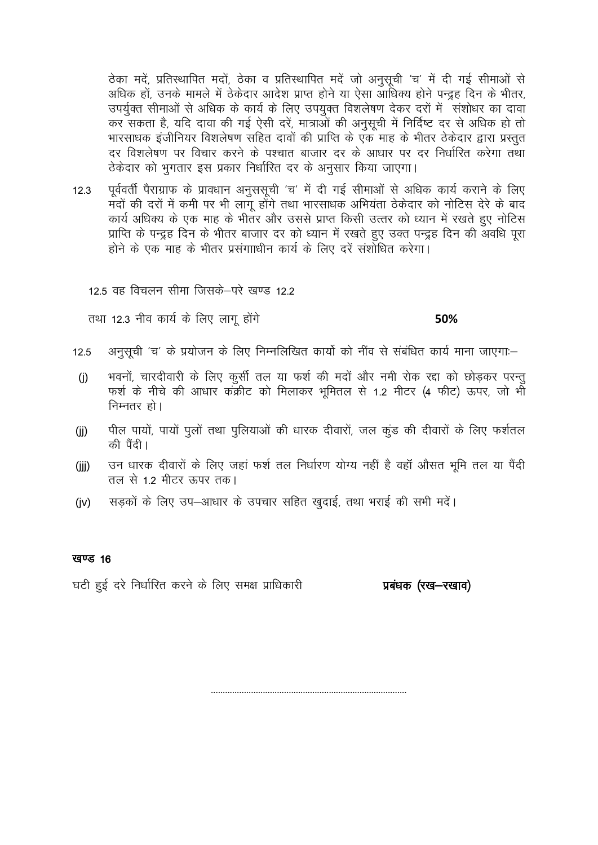ठेका मदें, प्रतिस्थापित मदों, ठेका व प्रतिस्थापित मदें जो अनुसूची 'च' में दी गई सीमाओं से अधिक हों, उनके मामले में ठेकेदार आदेश प्राप्त होने या ऐसा आधिक्य होने पन्द्रह दिन के भीतर, उपर्युक्त सीमाओं से अधिक के कार्य के लिए उपयुक्त विशलेषण देकर दरों में) संशोधर का दावा कर सकता है, यदि दावा की गई ऐसी दरें, मात्राओं की अनुसूची में निर्दिष्ट दर से अधिक हो तो भारसाधक इंजीनियर विशलेषण सहित दावों की प्राप्ति के एक माह के भीतर ठेकेदार द्वारा प्रस्तत दर विशलेषण पर विचार करने के पश्चात बाजार दर के आधार पर दर निर्धारित करेगा तथा ठेकेदार को भगतार इस प्रकार निर्धारित दर के अनुसार किया जाएगा।

पूर्ववर्ती पैराग्राफ के प्रावधान अनुससूची 'च' में दी गई सीमाओं से अधिक कार्य कराने के लिए  $12.3$ मदों की दरों में कमी पर भी लाग होंगे तथा भारसाधक अभियंता ठेकेदार को नोटिस देरे के बाद कार्य अधिक्य के एक माह के भीतर और उससे प्राप्त किसी उत्तर को ध्यान में रखते हुए नोटिस प्राप्ति के पन्द्रह दिन के भीतर बाजार दर को ध्यान में रखते हुए उक्त पन्द्रह दिन की अवधि पूरा होने के एक माह के भीतर प्रसंगााधीन कार्य के लिए दरें संशोधित करेगा।

12.5 वह विचलन सीमा जिसके–परे खण्ड 12.2

तथा 12.3 नीव कार्य के लिए लागू होंगे

#### 50%

- अनुसूची 'च' के प्रयोजन के लिए निम्नलिखित कार्यो को नींव से संबंधित कार्य माना जाएगा:-12.5
- भवनों, चारदीवारी के लिए कूर्सी तल या फर्श की मदों और नमी रोक रद्दा को छोड़कर परन्तू  $(i)$ फर्श के नीचे की आधार कक्रीट को मिलाकर भूमितल से 1.2 मीटर (4 फीट) ऊपर, जो भी निम्नतर हो।
- पील पायों, पायों पूलों तथा पुलियाओं की धारक दीवारों, जल कुंड की दीवारों के लिए फर्शतल  $(i)$ की पैंदी।
- उन धारक दीवारों के लिए जहां फर्श तल निर्धारण योग्य नहीं है वहाँ औसत भूमि तल या पैंदी  $(ijj)$ तल से 1.2 मीटर ऊपर तक।
- सड़कों के लिए उप-आधार के उपचार सहित खुदाई, तथा भराई की सभी मदें।  $(iv)$

#### खण्ड 16

घटी हुई दरे निर्धारित करने के लिए समक्ष प्राधिकारी

प्रबंधक (रख—रखाव)